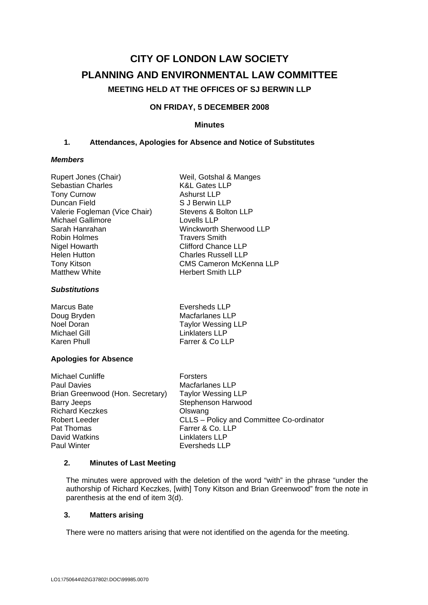# **CITY OF LONDON LAW SOCIETY PLANNING AND ENVIRONMENTAL LAW COMMITTEE MEETING HELD AT THE OFFICES OF SJ BERWIN LLP**

# **ON FRIDAY, 5 DECEMBER 2008**

## **Minutes**

## **1. Attendances, Apologies for Absence and Notice of Substitutes**

#### *Members*

| Rupert Jones (Chair)          | Weil, Gotshal & Manges         |
|-------------------------------|--------------------------------|
| <b>Sebastian Charles</b>      | <b>K&amp;L Gates LLP</b>       |
| <b>Tony Curnow</b>            | <b>Ashurst LLP</b>             |
| Duncan Field                  | S J Berwin LLP                 |
| Valerie Fogleman (Vice Chair) | Stevens & Bolton LLP           |
| <b>Michael Gallimore</b>      | Lovells LLP                    |
| Sarah Hanrahan                | <b>Winckworth Sherwood LLP</b> |
| Robin Holmes                  | <b>Travers Smith</b>           |
| <b>Nigel Howarth</b>          | <b>Clifford Chance LLP</b>     |
| <b>Helen Hutton</b>           | <b>Charles Russell LLP</b>     |
| <b>Tony Kitson</b>            | <b>CMS Cameron McKenna LLP</b> |
| <b>Matthew White</b>          | <b>Herbert Smith LLP</b>       |
|                               |                                |

## *Substitutions*

| Marcus Bate  | Eversheds LLP             |
|--------------|---------------------------|
| Doug Bryden  | Macfarlanes LLP           |
| Noel Doran   | <b>Taylor Wessing LLP</b> |
| Michael Gill | Linklaters LLP            |
| Karen Phull  | Farrer & Co LLP           |

## **Apologies for Absence**

| Michael Cunliffe                 | <b>Forsters</b>                          |
|----------------------------------|------------------------------------------|
| <b>Paul Davies</b>               | Macfarlanes LLP                          |
| Brian Greenwood (Hon. Secretary) | <b>Taylor Wessing LLP</b>                |
| Barry Jeeps                      | Stephenson Harwood                       |
| <b>Richard Keczkes</b>           | Olswang                                  |
| Robert Leeder                    | CLLS - Policy and Committee Co-ordinator |
| Pat Thomas                       | Farrer & Co. LLP                         |
| David Watkins                    | <b>Linklaters LLP</b>                    |
| <b>Paul Winter</b>               | <b>Eversheds LLP</b>                     |

## **2. Minutes of Last Meeting**

The minutes were approved with the deletion of the word "with" in the phrase "under the authorship of Richard Keczkes, [with] Tony Kitson and Brian Greenwood" from the note in parenthesis at the end of item 3(d).

## **3. Matters arising**

There were no matters arising that were not identified on the agenda for the meeting.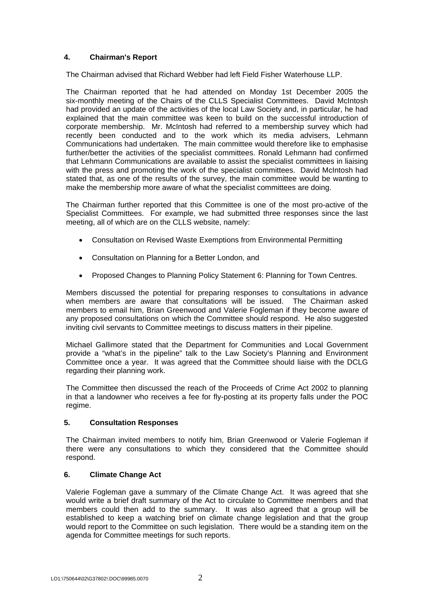# **4. Chairman's Report**

The Chairman advised that Richard Webber had left Field Fisher Waterhouse LLP.

The Chairman reported that he had attended on Monday 1st December 2005 the six-monthly meeting of the Chairs of the CLLS Specialist Committees. David McIntosh had provided an update of the activities of the local Law Society and, in particular, he had explained that the main committee was keen to build on the successful introduction of corporate membership. Mr. McIntosh had referred to a membership survey which had recently been conducted and to the work which its media advisers, Lehmann Communications had undertaken. The main committee would therefore like to emphasise further/better the activities of the specialist committees. Ronald Lehmann had confirmed that Lehmann Communications are available to assist the specialist committees in liaising with the press and promoting the work of the specialist committees. David McIntosh had stated that, as one of the results of the survey, the main committee would be wanting to make the membership more aware of what the specialist committees are doing.

The Chairman further reported that this Committee is one of the most pro-active of the Specialist Committees. For example, we had submitted three responses since the last meeting, all of which are on the CLLS website, namely:

- Consultation on Revised Waste Exemptions from Environmental Permitting
- Consultation on Planning for a Better London, and
- Proposed Changes to Planning Policy Statement 6: Planning for Town Centres.

Members discussed the potential for preparing responses to consultations in advance when members are aware that consultations will be issued. The Chairman asked members to email him, Brian Greenwood and Valerie Fogleman if they become aware of any proposed consultations on which the Committee should respond. He also suggested inviting civil servants to Committee meetings to discuss matters in their pipeline.

Michael Gallimore stated that the Department for Communities and Local Government provide a "what's in the pipeline" talk to the Law Society's Planning and Environment Committee once a year. It was agreed that the Committee should liaise with the DCLG regarding their planning work.

The Committee then discussed the reach of the Proceeds of Crime Act 2002 to planning in that a landowner who receives a fee for fly-posting at its property falls under the POC regime.

## **5. Consultation Responses**

The Chairman invited members to notify him, Brian Greenwood or Valerie Fogleman if there were any consultations to which they considered that the Committee should respond.

## **6. Climate Change Act**

Valerie Fogleman gave a summary of the Climate Change Act. It was agreed that she would write a brief draft summary of the Act to circulate to Committee members and that members could then add to the summary. It was also agreed that a group will be established to keep a watching brief on climate change legislation and that the group would report to the Committee on such legislation. There would be a standing item on the agenda for Committee meetings for such reports.